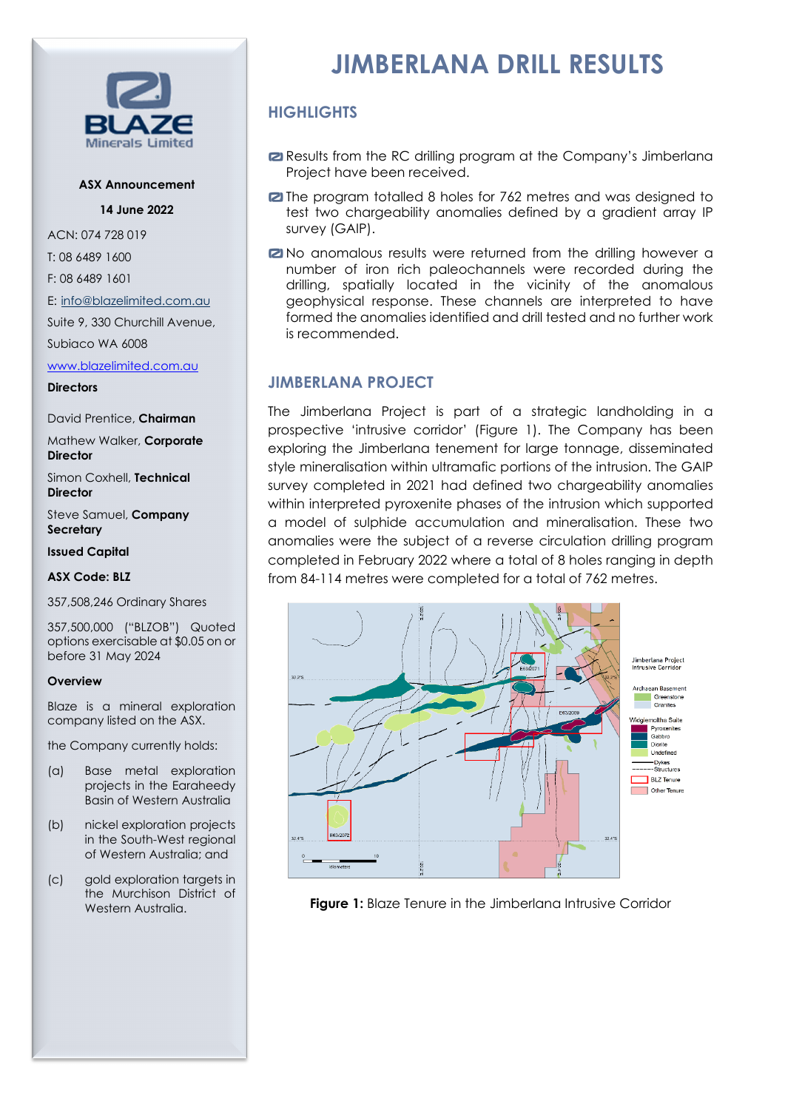

## **ASX Announcement**

**14 June 2022**

ACN: 074 728 019

T: 08 6489 1600

F: 08 6489 1601

E: [info@blazelimited.com.au](mailto:info@blazelimited.com.au)

Suite 9, 330 Churchill Avenue,

Subiaco WA 6008

## [www.blazelimited.com.au](http://www.blazelimited.com.au/)

**Directors** 

David Prentice, **Chairman**

Mathew Walker, **Corporate Director**

Simon Coxhell, **Technical Director**

Steve Samuel, **Company Secretary**

**Issued Capital**

## **ASX Code: BLZ**

357,508,246 Ordinary Shares

357,500,000 ("BLZOB") Quoted options exercisable at \$0.05 on or before 31 May 2024

## **Overview**

Blaze is a mineral exploration company listed on the ASX.

the Company currently holds:

- (a) Base metal exploration projects in the Earaheedy Basin of Western Australia
- (b) nickel exploration projects in the South-West regional of Western Australia; and
- (c) gold exploration targets in the Murchison District of Western Australia.

# **JIMBERLANA DRILL RESULTS**

# **HIGHLIGHTS**

- Results from the RC drilling program at the Company's Jimberlana Project have been received.
- **Z** The program totalled 8 holes for 762 metres and was designed to test two chargeability anomalies defined by a gradient array IP survey (GAIP).
- **2** No anomalous results were returned from the drilling however a number of iron rich paleochannels were recorded during the drilling, spatially located in the vicinity of the anomalous geophysical response. These channels are interpreted to have formed the anomalies identified and drill tested and no further work is recommended.

# **JIMBERLANA PROJECT**

The Jimberlana Project is part of a strategic landholding in a prospective 'intrusive corridor' (Figure 1). The Company has been exploring the Jimberlana tenement for large tonnage, disseminated style mineralisation within ultramafic portions of the intrusion. The GAIP survey completed in 2021 had defined two chargeability anomalies within interpreted pyroxenite phases of the intrusion which supported a model of sulphide accumulation and mineralisation. These two anomalies were the subject of a reverse circulation drilling program completed in February 2022 where a total of 8 holes ranging in depth from 84-114 metres were completed for a total of 762 metres.



**Figure 1:** Blaze Tenure in the Jimberlana Intrusive Corridor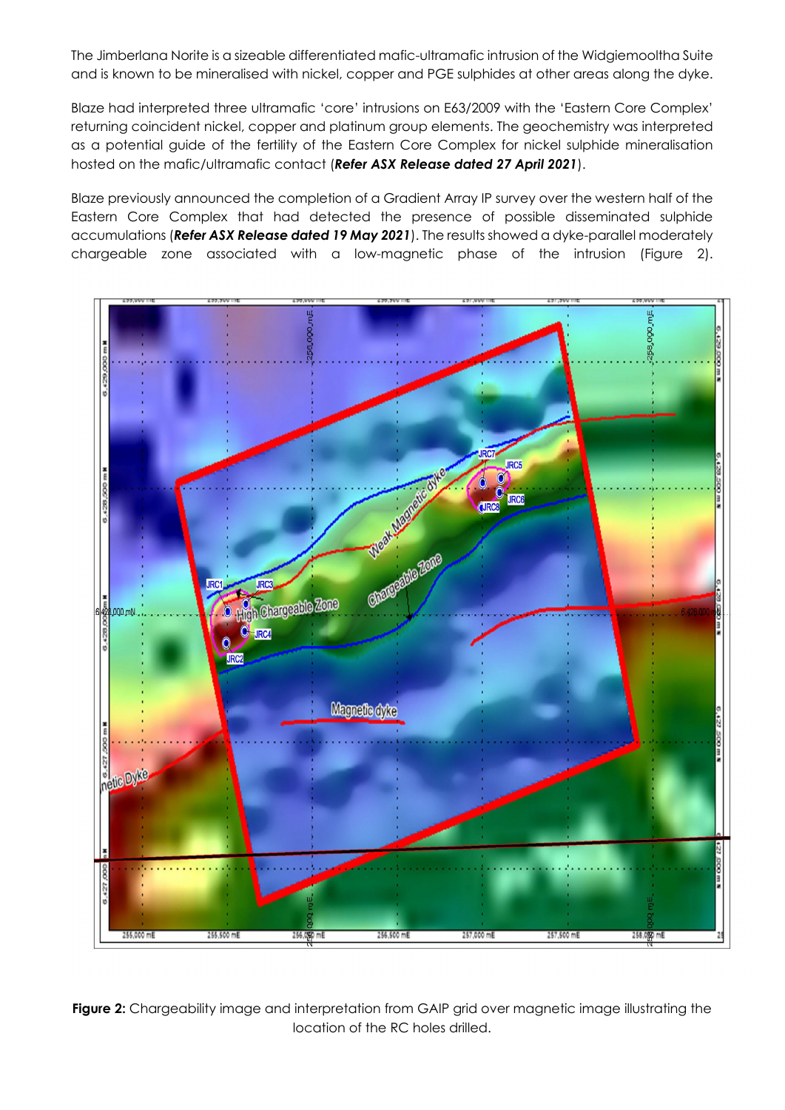The Jimberlana Norite is a sizeable differentiated mafic-ultramafic intrusion of the Widgiemooltha Suite and is known to be mineralised with nickel, copper and PGE sulphides at other areas along the dyke.

Blaze had interpreted three ultramafic 'core' intrusions on E63/2009 with the 'Eastern Core Complex' returning coincident nickel, copper and platinum group elements. The geochemistry was interpreted as a potential guide of the fertility of the Eastern Core Complex for nickel sulphide mineralisation hosted on the mafic/ultramafic contact (*Refer ASX Release dated 27 April 2021*).

Blaze previously announced the completion of a Gradient Array IP survey over the western half of the Eastern Core Complex that had detected the presence of possible disseminated sulphide accumulations (*Refer ASX Release dated 19 May 2021*). The results showed a dyke-parallel moderately chargeable zone associated with a low-magnetic phase of the intrusion (Figure 2).



**Figure 2:** Chargeability image and interpretation from GAIP grid over magnetic image illustrating the location of the RC holes drilled.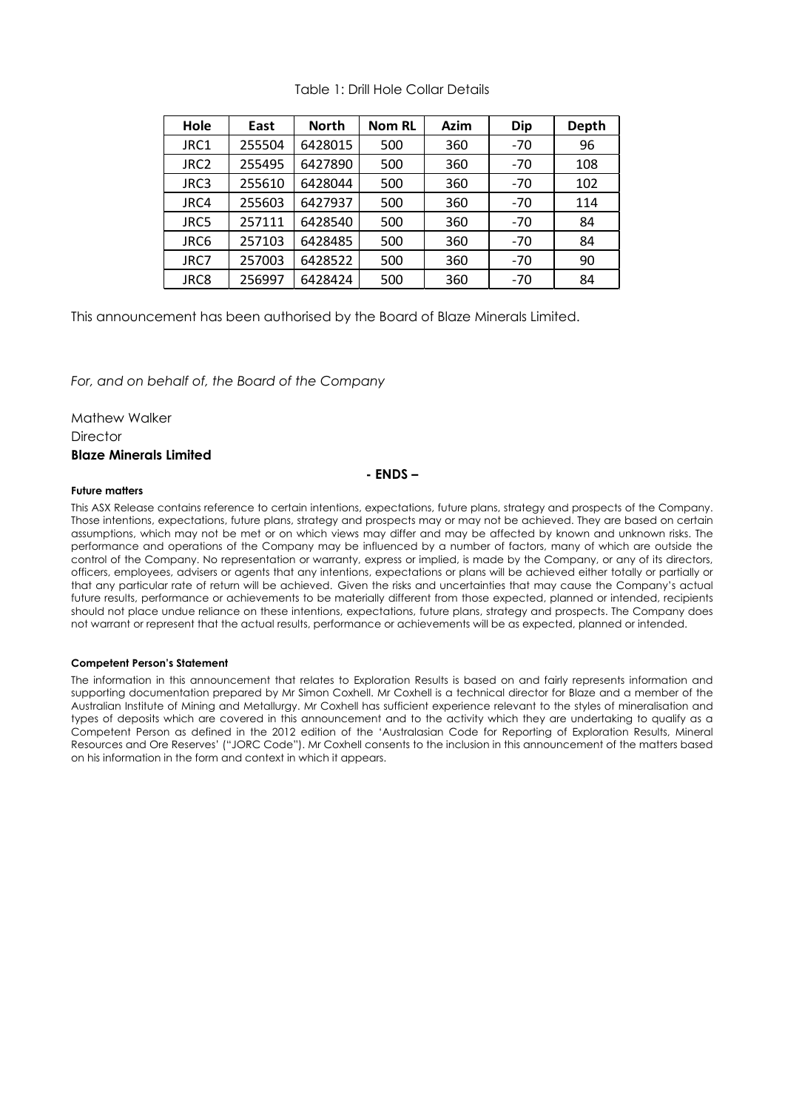| Hole             | East   | <b>North</b> | <b>Nom RL</b> | Azim | <b>Dip</b> | Depth |
|------------------|--------|--------------|---------------|------|------------|-------|
| JRC1             | 255504 | 6428015      | 500           | 360  | -70        | 96    |
| JRC <sub>2</sub> | 255495 | 6427890      | 500           | 360  | $-70$      | 108   |
| JRC3             | 255610 | 6428044      | 500           | 360  | $-70$      | 102   |
| JRC4             | 255603 | 6427937      | 500           | 360  | $-70$      | 114   |
| JRC5             | 257111 | 6428540      | 500           | 360  | $-70$      | 84    |
| JRC6             | 257103 | 6428485      | 500           | 360  | $-70$      | 84    |
| JRC7             | 257003 | 6428522      | 500           | 360  | $-70$      | 90    |
| JRC8             | 256997 | 6428424      | 500           | 360  | $-70$      | 84    |

## Table 1: Drill Hole Collar Details

This announcement has been authorised by the Board of Blaze Minerals Limited.

*For, and on behalf of, the Board of the Company*

Mathew Walker **Director Blaze Minerals Limited** 

## **- ENDS –**

## **Future matters**

This ASX Release contains reference to certain intentions, expectations, future plans, strategy and prospects of the Company. Those intentions, expectations, future plans, strategy and prospects may or may not be achieved. They are based on certain assumptions, which may not be met or on which views may differ and may be affected by known and unknown risks. The performance and operations of the Company may be influenced by a number of factors, many of which are outside the control of the Company. No representation or warranty, express or implied, is made by the Company, or any of its directors, officers, employees, advisers or agents that any intentions, expectations or plans will be achieved either totally or partially or that any particular rate of return will be achieved. Given the risks and uncertainties that may cause the Company's actual future results, performance or achievements to be materially different from those expected, planned or intended, recipients should not place undue reliance on these intentions, expectations, future plans, strategy and prospects. The Company does not warrant or represent that the actual results, performance or achievements will be as expected, planned or intended.

## **Competent Person's Statement**

The information in this announcement that relates to Exploration Results is based on and fairly represents information and supporting documentation prepared by Mr Simon Coxhell. Mr Coxhell is a technical director for Blaze and a member of the Australian Institute of Mining and Metallurgy. Mr Coxhell has sufficient experience relevant to the styles of mineralisation and types of deposits which are covered in this announcement and to the activity which they are undertaking to qualify as a Competent Person as defined in the 2012 edition of the 'Australasian Code for Reporting of Exploration Results, Mineral Resources and Ore Reserves' ("JORC Code"). Mr Coxhell consents to the inclusion in this announcement of the matters based on his information in the form and context in which it appears.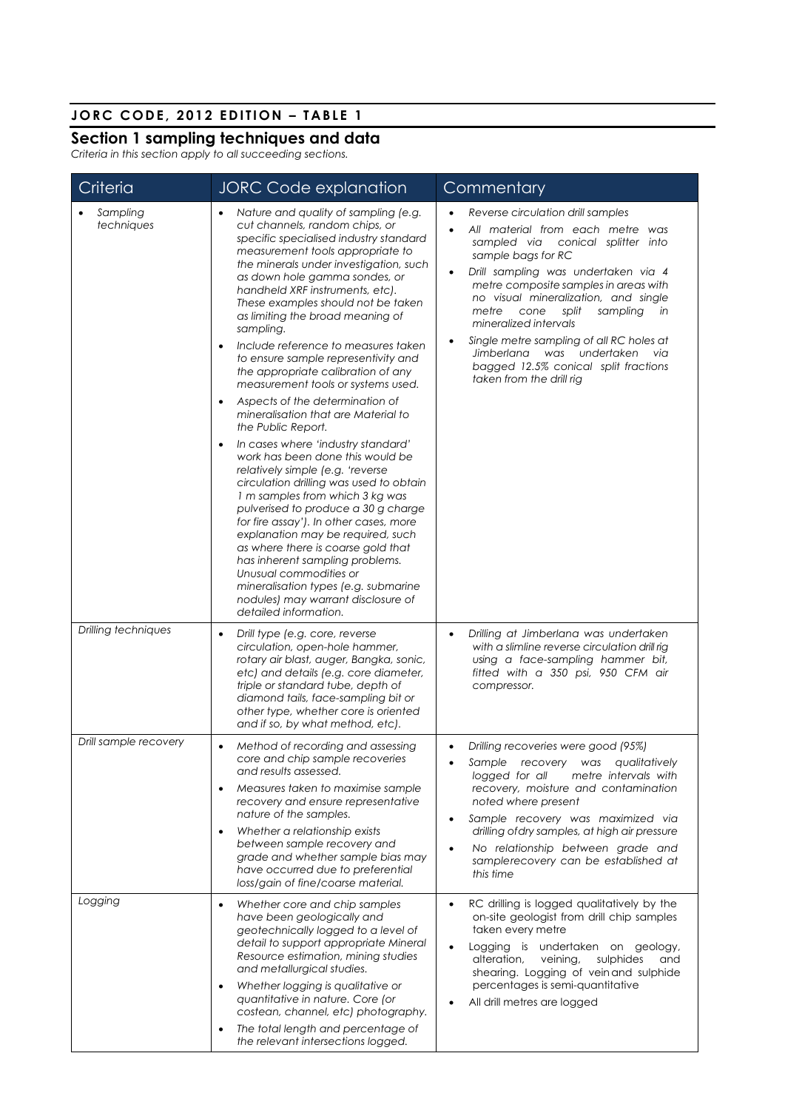# **JORC CODE, 2012 EDITION – TABLE 1**

# **Section 1 sampling techniques and data**

*Criteria in this section apply to all succeeding sections.*

| Criteria               | <b>JORC Code explanation</b>                                                                                                                                                                                                                                                                                                                                                                                                                                                                                                                                                                                                                                                                                                                                                                                                                                                                                                                                                                                                                                                                                                                                 | Commentary                                                                                                                                                                                                                                                                                                                                                                                                                                                                                                     |
|------------------------|--------------------------------------------------------------------------------------------------------------------------------------------------------------------------------------------------------------------------------------------------------------------------------------------------------------------------------------------------------------------------------------------------------------------------------------------------------------------------------------------------------------------------------------------------------------------------------------------------------------------------------------------------------------------------------------------------------------------------------------------------------------------------------------------------------------------------------------------------------------------------------------------------------------------------------------------------------------------------------------------------------------------------------------------------------------------------------------------------------------------------------------------------------------|----------------------------------------------------------------------------------------------------------------------------------------------------------------------------------------------------------------------------------------------------------------------------------------------------------------------------------------------------------------------------------------------------------------------------------------------------------------------------------------------------------------|
| Sampling<br>techniques | Nature and quality of sampling (e.g.<br>cut channels, random chips, or<br>specific specialised industry standard<br>measurement tools appropriate to<br>the minerals under investigation, such<br>as down hole gamma sondes, or<br>handheld XRF instruments, etc).<br>These examples should not be taken<br>as limiting the broad meaning of<br>sampling.<br>Include reference to measures taken<br>to ensure sample representivity and<br>the appropriate calibration of any<br>measurement tools or systems used.<br>Aspects of the determination of<br>mineralisation that are Material to<br>the Public Report.<br>In cases where 'industry standard'<br>$\bullet$<br>work has been done this would be<br>relatively simple (e.g. 'reverse<br>circulation drilling was used to obtain<br>1 m samples from which 3 kg was<br>pulverised to produce a 30 g charge<br>for fire assay'). In other cases, more<br>explanation may be required, such<br>as where there is coarse gold that<br>has inherent sampling problems.<br>Unusual commodities or<br>mineralisation types (e.g. submarine<br>nodules) may warrant disclosure of<br>detailed information. | Reverse circulation drill samples<br>All material from each metre was<br>sampled via<br>conical splitter into<br>sample bags for RC<br>Drill sampling was undertaken via 4<br>$\bullet$<br>metre composite samples in areas with<br>no visual mineralization, and single<br>sampling<br>metre<br>cone<br>split<br>in<br>mineralized intervals<br>Single metre sampling of all RC holes at<br>$\bullet$<br>Jimberlana was undertaken<br>via<br>bagged 12.5% conical split fractions<br>taken from the drill rig |
| Drilling techniques    | Drill type (e.g. core, reverse<br>circulation, open-hole hammer,<br>rotary air blast, auger, Bangka, sonic,<br>etc) and details (e.g. core diameter,<br>triple or standard tube, depth of<br>diamond tails, face-sampling bit or<br>other type, whether core is oriented<br>and if so, by what method, etc).                                                                                                                                                                                                                                                                                                                                                                                                                                                                                                                                                                                                                                                                                                                                                                                                                                                 | Drilling at Jimberlana was undertaken<br>$\bullet$<br>with a slimline reverse circulation drill rig<br>using a face-sampling hammer bit,<br>fitted with a 350 psi, 950 CFM air<br>compressor.                                                                                                                                                                                                                                                                                                                  |
| Drill sample recovery  | Method of recording and assessing<br>core and chip sample recoveries<br>and results assessed.<br>Measures taken to maximise sample<br>recovery and ensure representative<br>nature of the samples.<br>Whether a relationship exists<br>between sample recovery and<br>grade and whether sample bias may<br>have occurred due to preferential<br>loss/gain of fine/coarse material.                                                                                                                                                                                                                                                                                                                                                                                                                                                                                                                                                                                                                                                                                                                                                                           | Drilling recoveries were good (95%)<br>$\bullet$<br>Sample recovery was qualitatively<br>logged for all<br>metre intervals with<br>recovery, moisture and contamination<br>noted where present<br>Sample recovery was maximized via<br>$\bullet$<br>drilling of dry samples, at high air pressure<br>No relationship between grade and<br>$\bullet$<br>samplerecovery can be established at<br>this time                                                                                                       |
| Logging                | Whether core and chip samples<br>$\bullet$<br>have been geologically and<br>geotechnically logged to a level of<br>detail to support appropriate Mineral<br>Resource estimation, mining studies<br>and metallurgical studies.<br>Whether logging is qualitative or<br>quantitative in nature. Core (or<br>costean, channel, etc) photography.<br>The total length and percentage of<br>the relevant intersections logged.                                                                                                                                                                                                                                                                                                                                                                                                                                                                                                                                                                                                                                                                                                                                    | RC drilling is logged qualitatively by the<br>$\bullet$<br>on-site geologist from drill chip samples<br>taken every metre<br>Logging is undertaken on geology,<br>$\bullet$<br>alteration,<br>veining,<br>sulphides<br>and<br>shearing. Logging of vein and sulphide<br>percentages is semi-quantitative<br>All drill metres are logged                                                                                                                                                                        |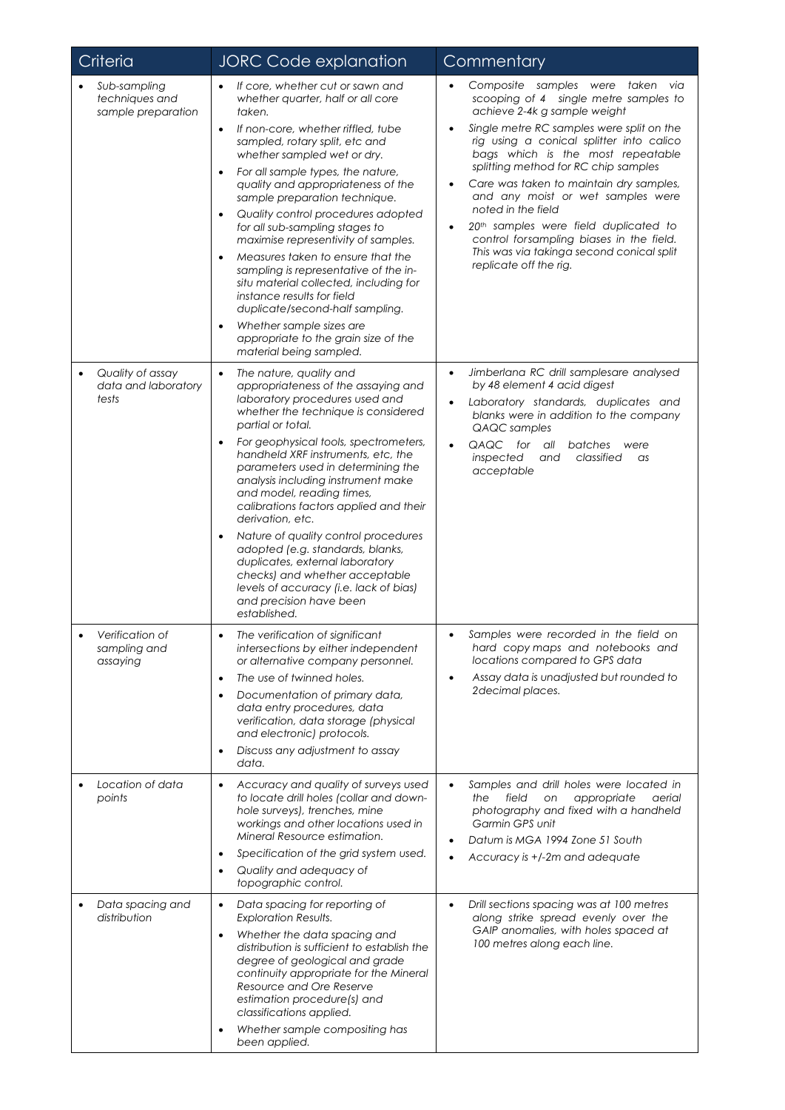| Criteria                                             | <b>JORC Code explanation</b>                                                                                                                                                                                                                                                                                                                                                                                                                                                                                                                                                                                                                                                                                                                                                    | Commentary                                                                                                                                                                                                                                                                                                                                                                                                                                                                                                                                                                                           |  |  |
|------------------------------------------------------|---------------------------------------------------------------------------------------------------------------------------------------------------------------------------------------------------------------------------------------------------------------------------------------------------------------------------------------------------------------------------------------------------------------------------------------------------------------------------------------------------------------------------------------------------------------------------------------------------------------------------------------------------------------------------------------------------------------------------------------------------------------------------------|------------------------------------------------------------------------------------------------------------------------------------------------------------------------------------------------------------------------------------------------------------------------------------------------------------------------------------------------------------------------------------------------------------------------------------------------------------------------------------------------------------------------------------------------------------------------------------------------------|--|--|
| Sub-sampling<br>techniques and<br>sample preparation | If core, whether cut or sawn and<br>$\bullet$<br>whether quarter, half or all core<br>taken.<br>If non-core, whether riffled, tube<br>$\bullet$<br>sampled, rotary split, etc and<br>whether sampled wet or dry.<br>For all sample types, the nature,<br>$\bullet$<br>quality and appropriateness of the<br>sample preparation technique.<br>Quality control procedures adopted<br>٠<br>for all sub-sampling stages to<br>maximise representivity of samples.<br>Measures taken to ensure that the<br>$\bullet$<br>sampling is representative of the in-<br>situ material collected, including for<br>instance results for field<br>duplicate/second-half sampling.<br>Whether sample sizes are<br>$\bullet$<br>appropriate to the grain size of the<br>material being sampled. | Composite samples were taken via<br>$\bullet$<br>scooping of 4 single metre samples to<br>achieve 2-4k g sample weight<br>Single metre RC samples were split on the<br>rig using a conical splitter into calico<br>bags which is the most repeatable<br>splitting method for RC chip samples<br>Care was taken to maintain dry samples,<br>$\bullet$<br>and any moist or wet samples were<br>noted in the field<br>20 <sup>th</sup> samples were field duplicated to<br>$\bullet$<br>control forsampling biases in the field.<br>This was via takinga second conical split<br>replicate off the rig. |  |  |
| Quality of assay<br>data and laboratory<br>tests     | The nature, quality and<br>$\bullet$<br>appropriateness of the assaying and<br>laboratory procedures used and<br>whether the technique is considered<br>partial or total.<br>For geophysical tools, spectrometers,<br>handheld XRF instruments, etc, the<br>parameters used in determining the<br>analysis including instrument make<br>and model, reading times,<br>calibrations factors applied and their<br>derivation, etc.<br>Nature of quality control procedures<br>adopted (e.g. standards, blanks,<br>duplicates, external laboratory<br>checks) and whether acceptable<br>levels of accuracy (i.e. lack of bias)<br>and precision have been<br>established.                                                                                                           | Jimberlana RC drill samplesare analysed<br>$\bullet$<br>by 48 element 4 acid digest<br>Laboratory standards, duplicates and<br>blanks were in addition to the company<br>QAQC samples<br>QAQC for<br>all<br>batches<br>were<br>$\bullet$<br>inspected<br>and<br>classified<br>as<br>acceptable                                                                                                                                                                                                                                                                                                       |  |  |
| Verification of<br>sampling and<br>assaying          | The verification of significant<br>intersections by either independent<br>or alternative company personnel.<br>The use of twinned holes.<br>$\bullet$<br>Documentation of primary data,<br>$\bullet$<br>data entry procedures, data<br>verification, data storage (physical<br>and electronic) protocols.<br>Discuss any adjustment to assay<br>$\bullet$<br>data.                                                                                                                                                                                                                                                                                                                                                                                                              | Samples were recorded in the field on<br>hard copy maps and notebooks and<br>locations compared to GPS data<br>Assay data is unadjusted but rounded to<br>$\bullet$<br>2decimal places.                                                                                                                                                                                                                                                                                                                                                                                                              |  |  |
| Location of data<br>points                           | Accuracy and quality of surveys used<br>$\bullet$<br>to locate drill holes (collar and down-<br>hole surveys), trenches, mine<br>workings and other locations used in<br>Mineral Resource estimation.<br>Specification of the grid system used.<br>٠<br>Quality and adequacy of<br>topographic control.                                                                                                                                                                                                                                                                                                                                                                                                                                                                         | Samples and drill holes were located in<br>$\bullet$<br>field<br>the<br>on<br>appropriate<br>aerial<br>photography and fixed with a handheld<br>Garmin GPS unit<br>Datum is MGA 1994 Zone 51 South<br>Accuracy is +/-2m and adequate                                                                                                                                                                                                                                                                                                                                                                 |  |  |
| Data spacing and<br>distribution                     | Data spacing for reporting of<br>$\bullet$<br><b>Exploration Results.</b><br>Whether the data spacing and<br>$\bullet$<br>distribution is sufficient to establish the<br>degree of geological and grade<br>continuity appropriate for the Mineral<br>Resource and Ore Reserve<br>estimation procedure(s) and<br>classifications applied.<br>Whether sample compositing has<br>٠<br>been applied.                                                                                                                                                                                                                                                                                                                                                                                | Drill sections spacing was at 100 metres<br>$\bullet$<br>along strike spread evenly over the<br>GAIP anomalies, with holes spaced at<br>100 metres along each line.                                                                                                                                                                                                                                                                                                                                                                                                                                  |  |  |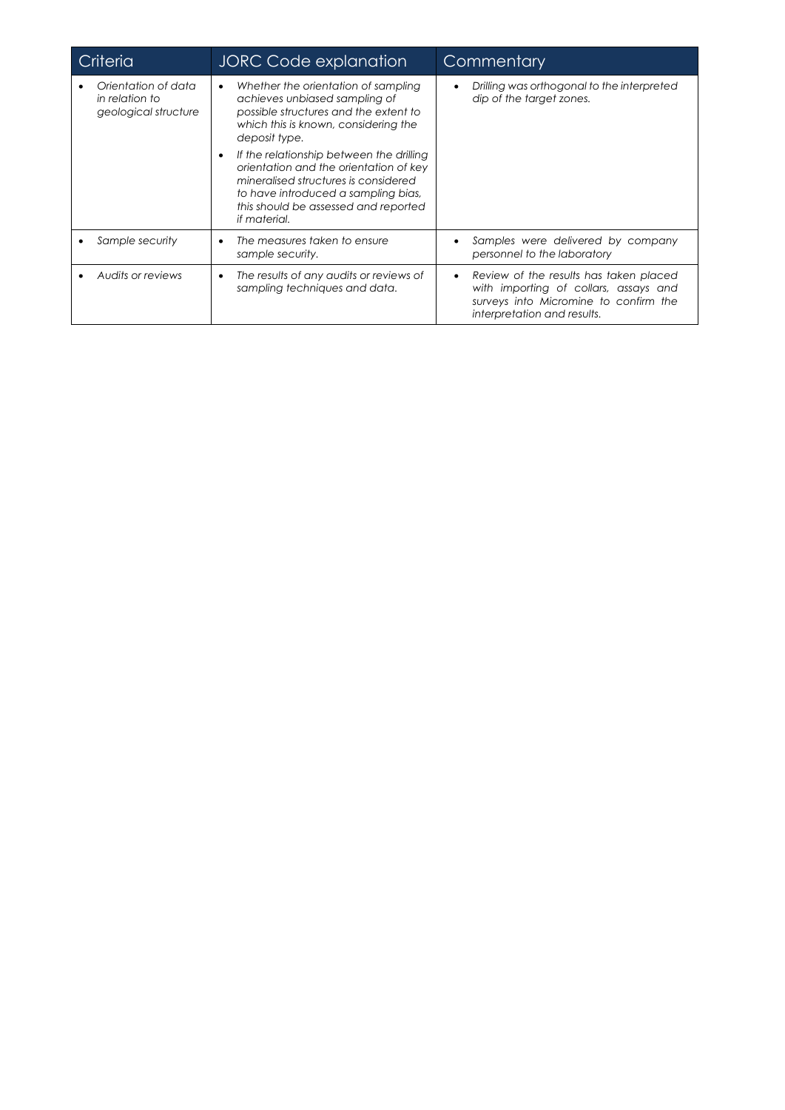| Criteria                                                      | <b>JORC Code explanation</b>                                                                                                                                                                                                                                                                                                                                                                                            | Commentary                                                                                                                                              |  |
|---------------------------------------------------------------|-------------------------------------------------------------------------------------------------------------------------------------------------------------------------------------------------------------------------------------------------------------------------------------------------------------------------------------------------------------------------------------------------------------------------|---------------------------------------------------------------------------------------------------------------------------------------------------------|--|
| Orientation of data<br>in relation to<br>geological structure | Whether the orientation of sampling<br>$\bullet$<br>achieves unbiased sampling of<br>possible structures and the extent to<br>which this is known, considering the<br>deposit type.<br>If the relationship between the drilling<br>orientation and the orientation of key<br>mineralised structures is considered<br>to have introduced a sampling bias,<br>this should be assessed and reported<br><i>if material.</i> | Drilling was orthogonal to the interpreted<br>dip of the target zones.                                                                                  |  |
| Sample security                                               | The measures taken to ensure<br>٠<br>sample security.                                                                                                                                                                                                                                                                                                                                                                   | Samples were delivered by company<br>personnel to the laboratory                                                                                        |  |
| Audits or reviews                                             | The results of any audits or reviews of<br>$\bullet$<br>sampling techniques and data.                                                                                                                                                                                                                                                                                                                                   | Review of the results has taken placed<br>with importing of collars, assays and<br>surveys into Micromine to confirm the<br>interpretation and results. |  |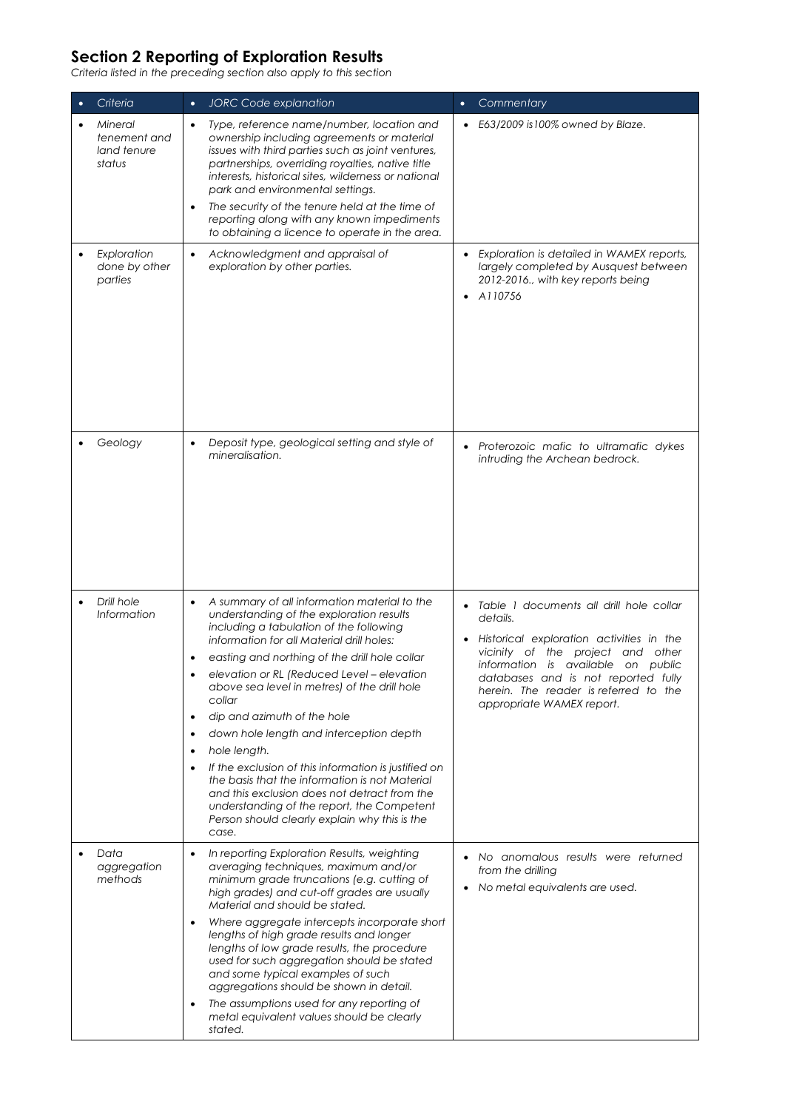# **Section 2 Reporting of Exploration Results**

*Criteria listed in the preceding section also apply to this section*

| Criteria                                         | $\bullet$                                             | <b>JORC Code explanation</b>                                                                                                                                                                                                                                                                                                                                                                                                                                                                                                                                                                                                                                                                          | $\bullet$ | Commentary                                                                                                                                                                                                                                                                              |
|--------------------------------------------------|-------------------------------------------------------|-------------------------------------------------------------------------------------------------------------------------------------------------------------------------------------------------------------------------------------------------------------------------------------------------------------------------------------------------------------------------------------------------------------------------------------------------------------------------------------------------------------------------------------------------------------------------------------------------------------------------------------------------------------------------------------------------------|-----------|-----------------------------------------------------------------------------------------------------------------------------------------------------------------------------------------------------------------------------------------------------------------------------------------|
| Mineral<br>tenement and<br>land tenure<br>status | $\bullet$<br>$\bullet$                                | Type, reference name/number, location and<br>ownership including agreements or material<br>issues with third parties such as joint ventures,<br>partnerships, overriding royalties, native title<br>interests, historical sites, wilderness or national<br>park and environmental settings.<br>The security of the tenure held at the time of<br>reporting along with any known impediments<br>to obtaining a licence to operate in the area.                                                                                                                                                                                                                                                         |           | • E63/2009 is 100% owned by Blaze.                                                                                                                                                                                                                                                      |
| Exploration<br>done by other<br>parties          | $\bullet$                                             | Acknowledgment and appraisal of<br>exploration by other parties.                                                                                                                                                                                                                                                                                                                                                                                                                                                                                                                                                                                                                                      |           | Exploration is detailed in WAMEX reports,<br>largely completed by Ausquest between<br>2012-2016., with key reports being<br>A110756                                                                                                                                                     |
| Geology                                          | $\bullet$                                             | Deposit type, geological setting and style of<br>mineralisation.                                                                                                                                                                                                                                                                                                                                                                                                                                                                                                                                                                                                                                      |           | Proterozoic mafic to ultramafic dykes<br>intruding the Archean bedrock.                                                                                                                                                                                                                 |
| Drill hole<br><i>Information</i>                 | ٠<br>$\bullet$<br>$\bullet$<br>$\bullet$<br>$\bullet$ | A summary of all information material to the<br>understanding of the exploration results<br>including a tabulation of the following<br>information for all Material drill holes:<br>easting and northing of the drill hole collar<br>elevation or RL (Reduced Level - elevation<br>above sea level in metres) of the drill hole<br>collar<br>dip and azimuth of the hole<br>down hole length and interception depth<br>hole length.<br>If the exclusion of this information is justified on<br>the basis that the information is not Material<br>and this exclusion does not detract from the<br>understanding of the report, the Competent<br>Person should clearly explain why this is the<br>case. |           | Table 1 documents all drill hole collar<br>details.<br>Historical exploration activities in the<br>vicinity of the project and other<br>information is available on public<br>databases and is not reported fully<br>herein. The reader is referred to the<br>appropriate WAMEX report. |
| Data<br>aggregation<br>methods                   | $\bullet$<br>$\bullet$<br>٠                           | In reporting Exploration Results, weighting<br>averaging techniques, maximum and/or<br>minimum grade truncations (e.g. cutting of<br>high grades) and cut-off grades are usually<br>Material and should be stated.<br>Where aggregate intercepts incorporate short<br>lengths of high grade results and longer<br>lengths of low grade results, the procedure<br>used for such aggregation should be stated<br>and some typical examples of such<br>aggregations should be shown in detail.<br>The assumptions used for any reporting of<br>metal equivalent values should be clearly<br>stated.                                                                                                      |           | No anomalous results were returned<br>from the drilling<br>No metal equivalents are used.                                                                                                                                                                                               |